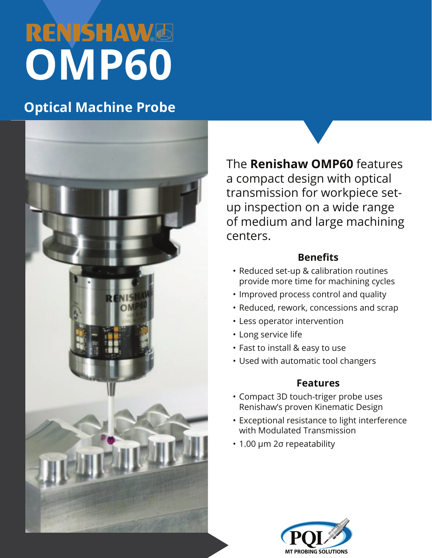# **RENISHAW**® **OMP60**

### **Optical Machine Probe**



The **Renishaw OMP60** features a compact design with optical transmission for workpiece setup inspection on a wide range of medium and large machining centers.

### **Benefits**

- Reduced set-up & calibration routines provide more time for machining cycles
- Improved process control and quality
- Reduced, rework, concessions and scrap
- Less operator intervention
- Long service life
- Fast to install & easy to use
- Used with automatic tool changers

### **Features**

- Compact 3D touch-triger probe uses Renishaw's proven Kinematic Design
- Exceptional resistance to light interference with Modulated Transmission
- 1.00 µm 2σ repeatability